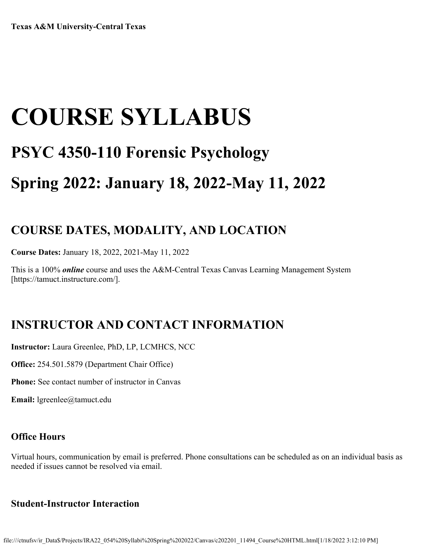# **COURSE SYLLABUS PSYC 4350-110 Forensic Psychology Spring 2022: January 18, 2022-May 11, 2022**

## **COURSE DATES, MODALITY, AND LOCATION**

**Course Dates:** January 18, 2022, 2021-May 11, 2022

This is a 100% *online* course and uses the A&M-Central Texas Canvas Learning Management System [https://tamuct.instructure.com/].

# **INSTRUCTOR AND CONTACT INFORMATION**

**Instructor:** Laura Greenlee, PhD, LP, LCMHCS, NCC

**Office:** 254.501.5879 (Department Chair Office)

**Phone:** See contact number of instructor in Canvas

**Email:** lgreenlee@tamuct.edu

#### **Office Hours**

Virtual hours, communication by email is preferred. Phone consultations can be scheduled as on an individual basis as needed if issues cannot be resolved via email.

#### **Student-Instructor Interaction**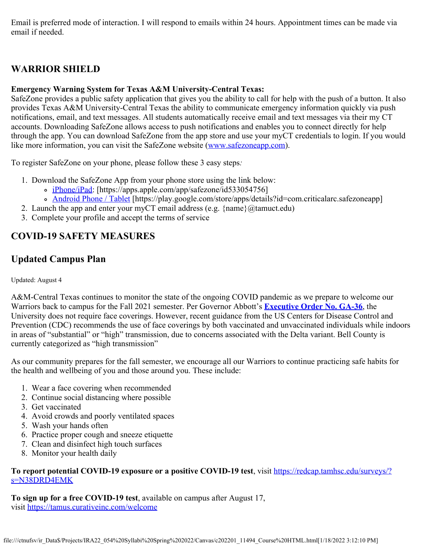Email is preferred mode of interaction. I will respond to emails within 24 hours. Appointment times can be made via email if needed.

## **WARRIOR SHIELD**

#### **Emergency Warning System for Texas A&M University-Central Texas:**

SafeZone provides a public safety application that gives you the ability to call for help with the push of a button. It also provides Texas A&M University-Central Texas the ability to communicate emergency information quickly via push notifications, email, and text messages. All students automatically receive email and text messages via their my CT accounts. Downloading SafeZone allows access to push notifications and enables you to connect directly for help through the app. You can download SafeZone from the app store and use your myCT credentials to login. If you would like more information, you can visit the SafeZone website ([www.safezoneapp.com\)](http://www.safezoneapp.com/).

To register SafeZone on your phone, please follow these 3 easy steps*:*

- 1. Download the SafeZone App from your phone store using the link below:
	- o [iPhone/iPad](https://apps.apple.com/app/safezone/id533054756): [https://apps.apple.com/app/safezone/id533054756]
	- [Android Phone / Tablet](https://play.google.com/store/apps/details?id=com.criticalarc.safezoneapp) [https://play.google.com/store/apps/details?id=com.criticalarc.safezoneapp]
- 2. Launch the app and enter your myCT email address (e.g.  $\{name\}$ ) ( $\emptyset$ ) tamuct.edu)
- 3. Complete your profile and accept the terms of service

## **COVID-19 SAFETY MEASURES**

#### **Updated Campus Plan**

#### Updated: August 4

A&M-Central Texas continues to monitor the state of the ongoing COVID pandemic as we prepare to welcome our Warriors back to campus for the Fall 2021 semester. Per Governor Abbott's **[Executive Order No. GA-36](https://gov.texas.gov/uploads/files/press/EO-GA-36_prohibition_on_mandating_face_coverings_response_to_COVID-19_disaster_IMAGE_05-18-2021.pdf)**, the University does not require face coverings. However, recent guidance from the US Centers for Disease Control and Prevention (CDC) recommends the use of face coverings by both vaccinated and unvaccinated individuals while indoors in areas of "substantial" or "high" transmission, due to concerns associated with the Delta variant. Bell County is currently categorized as "high transmission"

As our community prepares for the fall semester, we encourage all our Warriors to continue practicing safe habits for the health and wellbeing of you and those around you. These include:

- 1. Wear a face covering when recommended
- 2. Continue social distancing where possible
- 3. Get vaccinated
- 4. Avoid crowds and poorly ventilated spaces
- 5. Wash your hands often
- 6. Practice proper cough and sneeze etiquette
- 7. Clean and disinfect high touch surfaces
- 8. Monitor your health daily

#### **To report potential COVID-19 exposure or a positive COVID-19 test**, visit [https://redcap.tamhsc.edu/surveys/?](https://redcap.tamhsc.edu/surveys/?s=N38DRD4EMK) [s=N38DRD4EMK](https://redcap.tamhsc.edu/surveys/?s=N38DRD4EMK)

**To sign up for a free COVID-19 test**, available on campus after August 17, visit <https://tamus.curativeinc.com/welcome>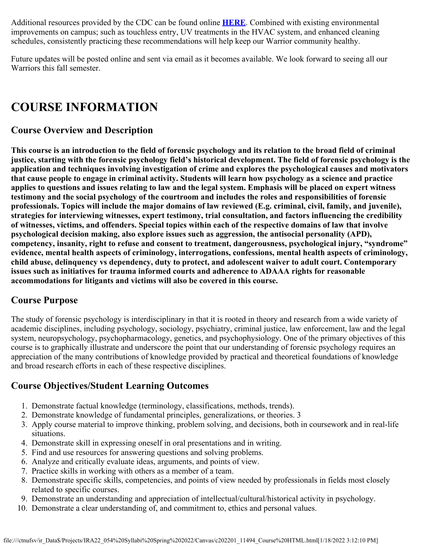Additional resources provided by the CDC can be found online **[HERE](https://www.cdc.gov/coronavirus/2019-ncov/prevent-getting-sick/prevention.html)**. Combined with existing environmental improvements on campus; such as touchless entry, UV treatments in the HVAC system, and enhanced cleaning schedules, consistently practicing these recommendations will help keep our Warrior community healthy.

Future updates will be posted online and sent via email as it becomes available. We look forward to seeing all our Warriors this fall semester.

## **COURSE INFORMATION**

#### **Course Overview and Description**

**This course is an introduction to the field of forensic psychology and its relation to the broad field of criminal justice, starting with the forensic psychology field's historical development. The field of forensic psychology is the application and techniques involving investigation of crime and explores the psychological causes and motivators that cause people to engage in criminal activity. Students will learn how psychology as a science and practice applies to questions and issues relating to law and the legal system. Emphasis will be placed on expert witness testimony and the social psychology of the courtroom and includes the roles and responsibilities of forensic professionals. Topics will include the major domains of law reviewed (E.g. criminal, civil, family, and juvenile), strategies for interviewing witnesses, expert testimony, trial consultation, and factors influencing the credibility of witnesses, victims, and offenders. Special topics within each of the respective domains of law that involve psychological decision making, also explore issues such as aggression, the antisocial personality (APD), competency, insanity, right to refuse and consent to treatment, dangerousness, psychological injury, "syndrome" evidence, mental health aspects of criminology, interrogations, confessions, mental health aspects of criminology, child abuse, delinquency vs dependency, duty to protect, and adolescent waiver to adult court. Contemporary issues such as initiatives for trauma informed courts and adherence to ADAAA rights for reasonable accommodations for litigants and victims will also be covered in this course.**

#### **Course Purpose**

The study of forensic psychology is interdisciplinary in that it is rooted in theory and research from a wide variety of academic disciplines, including psychology, sociology, psychiatry, criminal justice, law enforcement, law and the legal system, neuropsychology, psychopharmacology, genetics, and psychophysiology. One of the primary objectives of this course is to graphically illustrate and underscore the point that our understanding of forensic psychology requires an appreciation of the many contributions of knowledge provided by practical and theoretical foundations of knowledge and broad research efforts in each of these respective disciplines.

#### **Course Objectives/Student Learning Outcomes**

- 1. Demonstrate factual knowledge (terminology, classifications, methods, trends).
- 2. Demonstrate knowledge of fundamental principles, generalizations, or theories. 3
- 3. Apply course material to improve thinking, problem solving, and decisions, both in coursework and in real-life situations.
- 4. Demonstrate skill in expressing oneself in oral presentations and in writing.
- 5. Find and use resources for answering questions and solving problems.
- 6. Analyze and critically evaluate ideas, arguments, and points of view.
- 7. Practice skills in working with others as a member of a team.
- 8. Demonstrate specific skills, competencies, and points of view needed by professionals in fields most closely related to specific courses.
- 9. Demonstrate an understanding and appreciation of intellectual/cultural/historical activity in psychology.
- 10. Demonstrate a clear understanding of, and commitment to, ethics and personal values.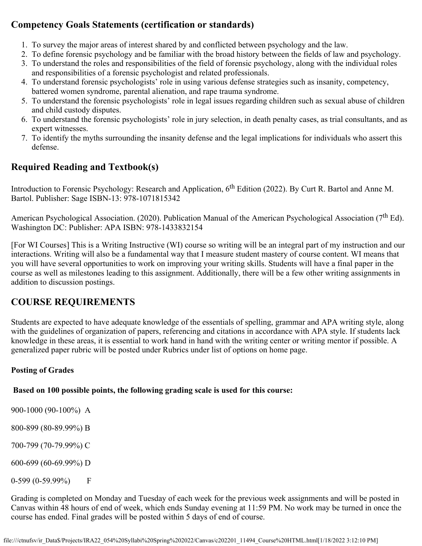#### **Competency Goals Statements (certification or standards)**

- 1. To survey the major areas of interest shared by and conflicted between psychology and the law.
- 2. To define forensic psychology and be familiar with the broad history between the fields of law and psychology.
- 3. To understand the roles and responsibilities of the field of forensic psychology, along with the individual roles and responsibilities of a forensic psychologist and related professionals.
- 4. To understand forensic psychologists' role in using various defense strategies such as insanity, competency, battered women syndrome, parental alienation, and rape trauma syndrome.
- 5. To understand the forensic psychologists' role in legal issues regarding children such as sexual abuse of children and child custody disputes.
- 6. To understand the forensic psychologists' role in jury selection, in death penalty cases, as trial consultants, and as expert witnesses.
- 7. To identify the myths surrounding the insanity defense and the legal implications for individuals who assert this defense.

## **Required Reading and Textbook(s)**

Introduction to Forensic Psychology: Research and Application, 6<sup>th</sup> Edition (2022). By Curt R. Bartol and Anne M. Bartol. Publisher: Sage ISBN-13: 978-1071815342

American Psychological Association. (2020). Publication Manual of the American Psychological Association (7<sup>th</sup> Ed). Washington DC: Publisher: APA ISBN: 978-1433832154

[For WI Courses] This is a Writing Instructive (WI) course so writing will be an integral part of my instruction and our interactions. Writing will also be a fundamental way that I measure student mastery of course content. WI means that you will have several opportunities to work on improving your writing skills. Students will have a final paper in the course as well as milestones leading to this assignment. Additionally, there will be a few other writing assignments in addition to discussion postings.

#### **COURSE REQUIREMENTS**

Students are expected to have adequate knowledge of the essentials of spelling, grammar and APA writing style, along with the guidelines of organization of papers, referencing and citations in accordance with APA style. If students lack knowledge in these areas, it is essential to work hand in hand with the writing center or writing mentor if possible. A generalized paper rubric will be posted under Rubrics under list of options on home page.

#### **Posting of Grades**

#### **Based on 100 possible points, the following grading scale is used for this course:**

900-1000 (90-100%) A

800-899 (80-89.99%) B

700-799 (70-79.99%) C

600-699 (60-69.99%) D

0-599 (0-59.99%) F

Grading is completed on Monday and Tuesday of each week for the previous week assignments and will be posted in Canvas within 48 hours of end of week, which ends Sunday evening at 11:59 PM. No work may be turned in once the course has ended. Final grades will be posted within 5 days of end of course.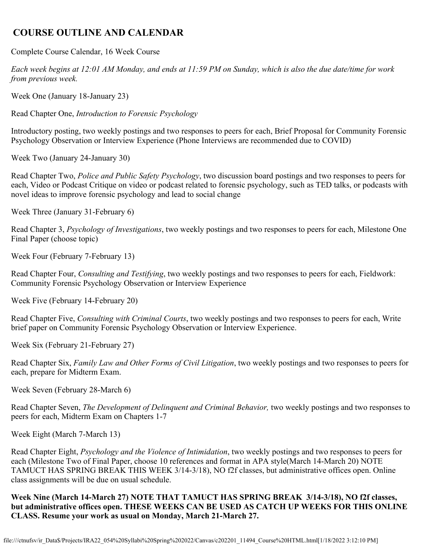#### **COURSE OUTLINE AND CALENDAR**

Complete Course Calendar, 16 Week Course

*Each week begins at 12:01 AM Monday, and ends at 11:59 PM on Sunday, which is also the due date/time for work from previous week.*

Week One (January 18-January 23)

Read Chapter One, *Introduction to Forensic Psychology*

Introductory posting, two weekly postings and two responses to peers for each, Brief Proposal for Community Forensic Psychology Observation or Interview Experience (Phone Interviews are recommended due to COVID)

Week Two (January 24-January 30)

Read Chapter Two, *Police and Public Safety Psychology*, two discussion board postings and two responses to peers for each, Video or Podcast Critique on video or podcast related to forensic psychology, such as TED talks, or podcasts with novel ideas to improve forensic psychology and lead to social change

Week Three (January 31-February 6)

Read Chapter 3, *Psychology of Investigations*, two weekly postings and two responses to peers for each, Milestone One Final Paper (choose topic)

Week Four (February 7-February 13)

Read Chapter Four, *Consulting and Testifying*, two weekly postings and two responses to peers for each, Fieldwork: Community Forensic Psychology Observation or Interview Experience

Week Five (February 14-February 20)

Read Chapter Five, *Consulting with Criminal Courts*, two weekly postings and two responses to peers for each, Write brief paper on Community Forensic Psychology Observation or Interview Experience.

Week Six (February 21-February 27)

Read Chapter Six, *Family Law and Other Forms of Civil Litigation*, two weekly postings and two responses to peers for each, prepare for Midterm Exam.

Week Seven (February 28-March 6)

Read Chapter Seven, *The Development of Delinquent and Criminal Behavior,* two weekly postings and two responses to peers for each, Midterm Exam on Chapters 1-7

Week Eight (March 7-March 13)

Read Chapter Eight, *Psychology and the Violence of Intimidation*, two weekly postings and two responses to peers for each (Milestone Two of Final Paper, choose 10 references and format in APA style(March 14-March 20) NOTE TAMUCT HAS SPRING BREAK THIS WEEK 3/14-3/18), NO f2f classes, but administrative offices open. Online class assignments will be due on usual schedule.

**Week Nine (March 14-March 27) NOTE THAT TAMUCT HAS SPRING BREAK 3/14-3/18), NO f2f classes, but administrative offices open. THESE WEEKS CAN BE USED AS CATCH UP WEEKS FOR THIS ONLINE CLASS. Resume your work as usual on Monday, March 21-March 27.**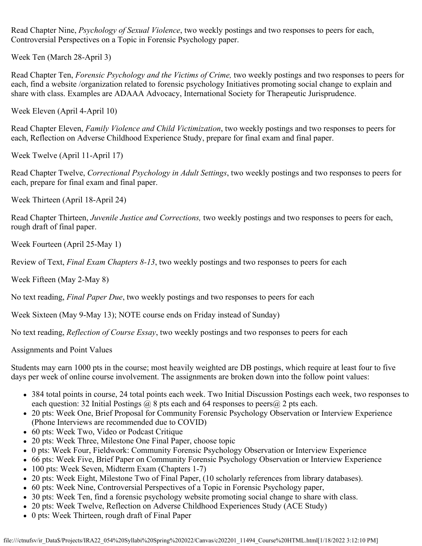Read Chapter Nine, *Psychology of Sexual Violence*, two weekly postings and two responses to peers for each, Controversial Perspectives on a Topic in Forensic Psychology paper.

Week Ten (March 28-April 3)

Read Chapter Ten, *Forensic Psychology and the Victims of Crime,* two weekly postings and two responses to peers for each, find a website /organization related to forensic psychology Initiatives promoting social change to explain and share with class. Examples are ADAAA Advocacy, International Society for Therapeutic Jurisprudence.

Week Eleven (April 4-April 10)

Read Chapter Eleven, *Family Violence and Child Victimization*, two weekly postings and two responses to peers for each, Reflection on Adverse Childhood Experience Study, prepare for final exam and final paper.

Week Twelve (April 11-April 17)

Read Chapter Twelve, *Correctional Psychology in Adult Settings*, two weekly postings and two responses to peers for each, prepare for final exam and final paper.

Week Thirteen (April 18-April 24)

Read Chapter Thirteen, *Juvenile Justice and Corrections,* two weekly postings and two responses to peers for each, rough draft of final paper.

Week Fourteen (April 25-May 1)

Review of Text, *Final Exam Chapters 8-13*, two weekly postings and two responses to peers for each

Week Fifteen (May 2-May 8)

No text reading, *Final Paper Due*, two weekly postings and two responses to peers for each

Week Sixteen (May 9-May 13); NOTE course ends on Friday instead of Sunday)

No text reading, *Reflection of Course Essay*, two weekly postings and two responses to peers for each

Assignments and Point Values

Students may earn 1000 pts in the course; most heavily weighted are DB postings, which require at least four to five days per week of online course involvement. The assignments are broken down into the follow point values:

- 384 total points in course, 24 total points each week. Two Initial Discussion Postings each week, two responses to each question: 32 Initial Postings  $\omega$  8 pts each and 64 responses to peers  $\omega$  2 pts each.
- 20 pts: Week One, Brief Proposal for Community Forensic Psychology Observation or Interview Experience (Phone Interviews are recommended due to COVID)
- 60 pts: Week Two, Video or Podcast Critique
- 20 pts: Week Three, Milestone One Final Paper, choose topic
- 0 pts: Week Four, Fieldwork: Community Forensic Psychology Observation or Interview Experience
- 66 pts: Week Five, Brief Paper on Community Forensic Psychology Observation or Interview Experience
- 100 pts: Week Seven, Midterm Exam (Chapters 1-7)
- 20 pts: Week Eight, Milestone Two of Final Paper, (10 scholarly references from library databases).
- 60 pts: Week Nine, Controversial Perspectives of a Topic in Forensic Psychology paper,
- 30 pts: Week Ten, find a forensic psychology website promoting social change to share with class.
- 20 pts: Week Twelve, Reflection on Adverse Childhood Experiences Study (ACE Study)
- 0 pts: Week Thirteen, rough draft of Final Paper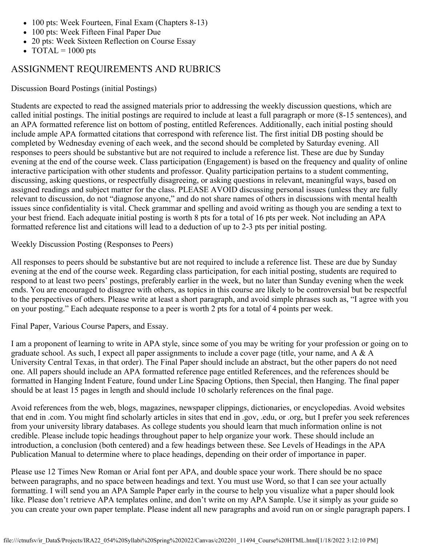- 100 pts: Week Fourteen, Final Exam (Chapters 8-13)
- 100 pts: Week Fifteen Final Paper Due
- 20 pts: Week Sixteen Reflection on Course Essay
- TOTAL =  $1000$  pts

#### ASSIGNMENT REQUIREMENTS AND RUBRICS

Discussion Board Postings (initial Postings)

Students are expected to read the assigned materials prior to addressing the weekly discussion questions, which are called initial postings. The initial postings are required to include at least a full paragraph or more (8-15 sentences), and an APA formatted reference list on bottom of posting, entitled References. Additionally, each initial posting should include ample APA formatted citations that correspond with reference list. The first initial DB posting should be completed by Wednesday evening of each week, and the second should be completed by Saturday evening. All responses to peers should be substantive but are not required to include a reference list. These are due by Sunday evening at the end of the course week. Class participation (Engagement) is based on the frequency and quality of online interactive participation with other students and professor. Quality participation pertains to a student commenting, discussing, asking questions, or respectfully disagreeing, or asking questions in relevant, meaningful ways, based on assigned readings and subject matter for the class. PLEASE AVOID discussing personal issues (unless they are fully relevant to discussion, do not "diagnose anyone," and do not share names of others in discussions with mental health issues since confidentiality is vital. Check grammar and spelling and avoid writing as though you are sending a text to your best friend. Each adequate initial posting is worth 8 pts for a total of 16 pts per week. Not including an APA formatted reference list and citations will lead to a deduction of up to 2-3 pts per initial posting.

Weekly Discussion Posting (Responses to Peers)

All responses to peers should be substantive but are not required to include a reference list. These are due by Sunday evening at the end of the course week. Regarding class participation, for each initial posting, students are required to respond to at least two peers' postings, preferably earlier in the week, but no later than Sunday evening when the week ends. You are encouraged to disagree with others, as topics in this course are likely to be controversial but be respectful to the perspectives of others. Please write at least a short paragraph, and avoid simple phrases such as, "I agree with you on your posting." Each adequate response to a peer is worth 2 pts for a total of 4 points per week.

Final Paper, Various Course Papers, and Essay.

I am a proponent of learning to write in APA style, since some of you may be writing for your profession or going on to graduate school. As such, I expect all paper assignments to include a cover page (title, your name, and A & A University Central Texas, in that order). The Final Paper should include an abstract, but the other papers do not need one. All papers should include an APA formatted reference page entitled References, and the references should be formatted in Hanging Indent Feature, found under Line Spacing Options, then Special, then Hanging. The final paper should be at least 15 pages in length and should include 10 scholarly references on the final page.

Avoid references from the web, blogs, magazines, newspaper clippings, dictionaries, or encyclopedias. Avoid websites that end in .com. You might find scholarly articles in sites that end in .gov, .edu, or .org, but I prefer you seek references from your university library databases. As college students you should learn that much information online is not credible. Please include topic headings throughout paper to help organize your work. These should include an introduction, a conclusion (both centered) and a few headings between these. See Levels of Headings in the APA Publication Manual to determine where to place headings, depending on their order of importance in paper.

Please use 12 Times New Roman or Arial font per APA, and double space your work. There should be no space between paragraphs, and no space between headings and text. You must use Word, so that I can see your actually formatting. I will send you an APA Sample Paper early in the course to help you visualize what a paper should look like. Please don't retrieve APA templates online, and don't write on my APA Sample. Use it simply as your guide so you can create your own paper template. Please indent all new paragraphs and avoid run on or single paragraph papers. I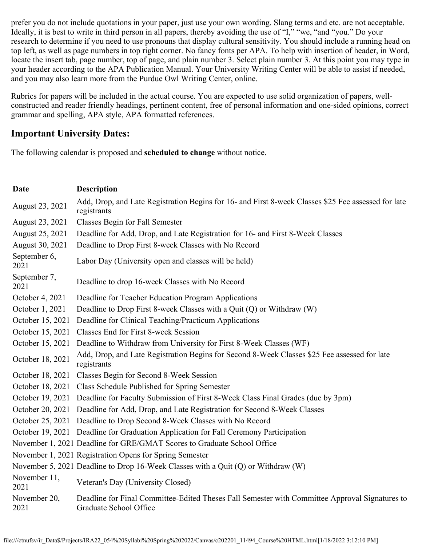prefer you do not include quotations in your paper, just use your own wording. Slang terms and etc. are not acceptable. Ideally, it is best to write in third person in all papers, thereby avoiding the use of "I," "we, "and "you." Do your research to determine if you need to use pronouns that display cultural sensitivity. You should include a running head on top left, as well as page numbers in top right corner. No fancy fonts per APA. To help with insertion of header, in Word, locate the insert tab, page number, top of page, and plain number 3. Select plain number 3. At this point you may type in your header according to the APA Publication Manual. Your University Writing Center will be able to assist if needed, and you may also learn more from the Purdue Owl Writing Center, online.

Rubrics for papers will be included in the actual course. You are expected to use solid organization of papers, wellconstructed and reader friendly headings, pertinent content, free of personal information and one-sided opinions, correct grammar and spelling, APA style, APA formatted references.

#### **Important University Dates:**

The following calendar is proposed and **scheduled to change** without notice.

| Date                 | <b>Description</b>                                                                                                       |
|----------------------|--------------------------------------------------------------------------------------------------------------------------|
| August 23, 2021      | Add, Drop, and Late Registration Begins for 16- and First 8-week Classes \$25 Fee assessed for late<br>registrants       |
| August 23, 2021      | Classes Begin for Fall Semester                                                                                          |
| August 25, 2021      | Deadline for Add, Drop, and Late Registration for 16- and First 8-Week Classes                                           |
| August 30, 2021      | Deadline to Drop First 8-week Classes with No Record                                                                     |
| September 6,<br>2021 | Labor Day (University open and classes will be held)                                                                     |
| September 7,<br>2021 | Deadline to drop 16-week Classes with No Record                                                                          |
| October 4, 2021      | Deadline for Teacher Education Program Applications                                                                      |
| October 1, 2021      | Deadline to Drop First 8-week Classes with a Quit (Q) or Withdraw (W)                                                    |
| October 15, 2021     | Deadline for Clinical Teaching/Practicum Applications                                                                    |
| October 15, 2021     | Classes End for First 8-week Session                                                                                     |
| October 15, 2021     | Deadline to Withdraw from University for First 8-Week Classes (WF)                                                       |
| October 18, 2021     | Add, Drop, and Late Registration Begins for Second 8-Week Classes \$25 Fee assessed for late<br>registrants              |
| October 18, 2021     | Classes Begin for Second 8-Week Session                                                                                  |
| October 18, 2021     | Class Schedule Published for Spring Semester                                                                             |
|                      | October 19, 2021 Deadline for Faculty Submission of First 8-Week Class Final Grades (due by 3pm)                         |
|                      | October 20, 2021 Deadline for Add, Drop, and Late Registration for Second 8-Week Classes                                 |
|                      | October 25, 2021 Deadline to Drop Second 8-Week Classes with No Record                                                   |
|                      | October 19, 2021 Deadline for Graduation Application for Fall Ceremony Participation                                     |
|                      | November 1, 2021 Deadline for GRE/GMAT Scores to Graduate School Office                                                  |
|                      | November 1, 2021 Registration Opens for Spring Semester                                                                  |
|                      | November 5, 2021 Deadline to Drop 16-Week Classes with a Quit (Q) or Withdraw (W)                                        |
| November 11,<br>2021 | Veteran's Day (University Closed)                                                                                        |
| November 20,<br>2021 | Deadline for Final Committee-Edited Theses Fall Semester with Committee Approval Signatures to<br>Graduate School Office |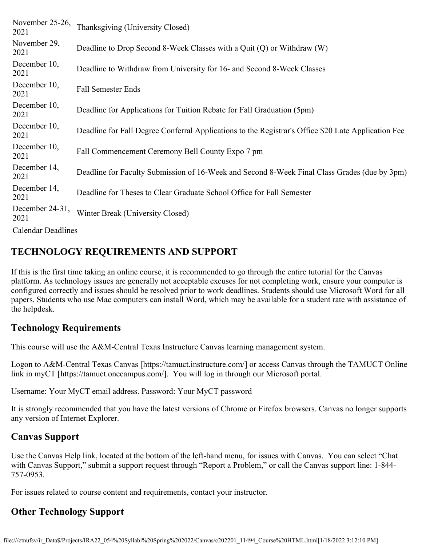| November 25-26,<br>2021   | Thanksgiving (University Closed)                                                                    |
|---------------------------|-----------------------------------------------------------------------------------------------------|
| November 29,<br>2021      | Deadline to Drop Second 8-Week Classes with a Quit (Q) or Withdraw (W)                              |
| December 10,<br>2021      | Deadline to Withdraw from University for 16- and Second 8-Week Classes                              |
| December 10,<br>2021      | <b>Fall Semester Ends</b>                                                                           |
| December 10,<br>2021      | Deadline for Applications for Tuition Rebate for Fall Graduation (5pm)                              |
| December 10,<br>2021      | Deadline for Fall Degree Conferral Applications to the Registrar's Office \$20 Late Application Fee |
| December 10,<br>2021      | Fall Commencement Ceremony Bell County Expo 7 pm                                                    |
| December 14,<br>2021      | Deadline for Faculty Submission of 16-Week and Second 8-Week Final Class Grades (due by 3pm)        |
| December 14,<br>2021      | Deadline for Theses to Clear Graduate School Office for Fall Semester                               |
| December 24-31,<br>2021   | Winter Break (University Closed)                                                                    |
| <b>Calendar Deadlines</b> |                                                                                                     |

#### **TECHNOLOGY REQUIREMENTS AND SUPPORT**

If this is the first time taking an online course, it is recommended to go through the entire tutorial for the Canvas platform. As technology issues are generally not acceptable excuses for not completing work, ensure your computer is configured correctly and issues should be resolved prior to work deadlines. Students should use Microsoft Word for all papers. Students who use Mac computers can install Word, which may be available for a student rate with assistance of the helpdesk.

#### **Technology Requirements**

This course will use the A&M-Central Texas Instructure Canvas learning management system.

Logon to A&M-Central Texas Canvas [https://tamuct.instructure.com/] or access Canvas through the TAMUCT Online link in myCT [https://tamuct.onecampus.com/]. You will log in through our Microsoft portal.

Username: Your MyCT email address. Password: Your MyCT password

It is strongly recommended that you have the latest versions of Chrome or Firefox browsers. Canvas no longer supports any version of Internet Explorer.

#### **Canvas Support**

Use the Canvas Help link, located at the bottom of the left-hand menu, for issues with Canvas. You can select "Chat with Canvas Support," submit a support request through "Report a Problem," or call the Canvas support line: 1-844-757-0953.

For issues related to course content and requirements, contact your instructor.

## **Other Technology Support**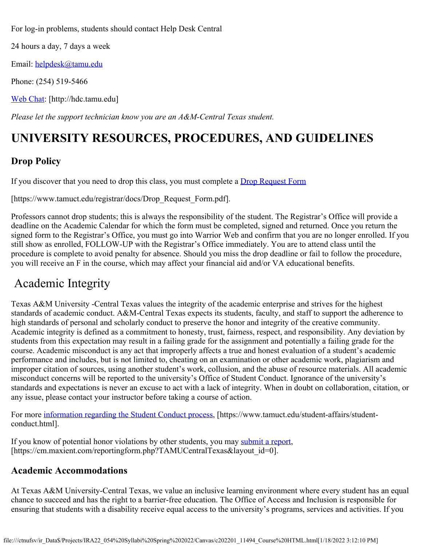For log-in problems, students should contact Help Desk Central

24 hours a day, 7 days a week

Email: [helpdesk@tamu.edu](mailto:helpdesk@tamu.edu)

Phone: (254) 519-5466

[Web Chat](http://hdc.tamu.edu/): [http://hdc.tamu.edu]

*Please let the support technician know you are an A&M-Central Texas student.*

# **UNIVERSITY RESOURCES, PROCEDURES, AND GUIDELINES**

## **Drop Policy**

If you discover that you need to drop this class, you must complete a **Drop Request Form** 

[https://www.tamuct.edu/registrar/docs/Drop\_Request\_Form.pdf].

Professors cannot drop students; this is always the responsibility of the student. The Registrar's Office will provide a deadline on the Academic Calendar for which the form must be completed, signed and returned. Once you return the signed form to the Registrar's Office, you must go into Warrior Web and confirm that you are no longer enrolled. If you still show as enrolled, FOLLOW-UP with the Registrar's Office immediately. You are to attend class until the procedure is complete to avoid penalty for absence. Should you miss the drop deadline or fail to follow the procedure, you will receive an F in the course, which may affect your financial aid and/or VA educational benefits.

## Academic Integrity

Texas A&M University -Central Texas values the integrity of the academic enterprise and strives for the highest standards of academic conduct. A&M-Central Texas expects its students, faculty, and staff to support the adherence to high standards of personal and scholarly conduct to preserve the honor and integrity of the creative community. Academic integrity is defined as a commitment to honesty, trust, fairness, respect, and responsibility. Any deviation by students from this expectation may result in a failing grade for the assignment and potentially a failing grade for the course. Academic misconduct is any act that improperly affects a true and honest evaluation of a student's academic performance and includes, but is not limited to, cheating on an examination or other academic work, plagiarism and improper citation of sources, using another student's work, collusion, and the abuse of resource materials. All academic misconduct concerns will be reported to the university's Office of Student Conduct. Ignorance of the university's standards and expectations is never an excuse to act with a lack of integrity. When in doubt on collaboration, citation, or any issue, please contact your instructor before taking a course of action.

For more [information regarding the Student Conduct process](https://www.tamuct.edu/student-affairs/student-conduct.html), [https://www.tamuct.edu/student-affairs/studentconduct.html].

If you know of potential honor violations by other students, you may [submit a report](https://cm.maxient.com/reportingform.php?TAMUCentralTexas&layout_id=0), [https://cm.maxient.com/reportingform.php?TAMUCentralTexas&layout\_id=0].

#### **Academic Accommodations**

At Texas A&M University-Central Texas, we value an inclusive learning environment where every student has an equal chance to succeed and has the right to a barrier-free education. The Office of Access and Inclusion is responsible for ensuring that students with a disability receive equal access to the university's programs, services and activities. If you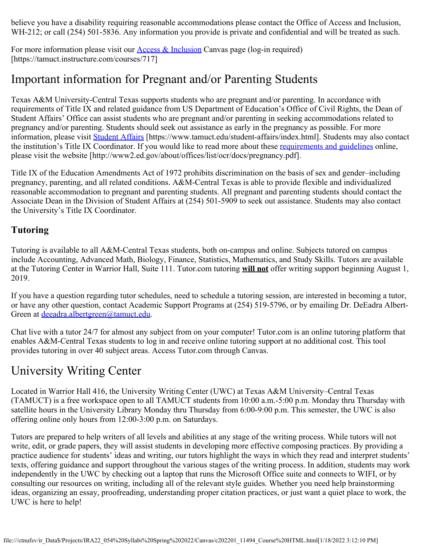believe you have a disability requiring reasonable accommodations please contact the Office of Access and Inclusion, WH-212; or call (254) 501-5836. Any information you provide is private and confidential and will be treated as such.

For more information please visit our **Access & Inclusion** Canvas page (log-in required) [https://tamuct.instructure.com/courses/717]

# Important information for Pregnant and/or Parenting Students

Texas A&M University-Central Texas supports students who are pregnant and/or parenting. In accordance with requirements of Title IX and related guidance from US Department of Education's Office of Civil Rights, the Dean of Student Affairs' Office can assist students who are pregnant and/or parenting in seeking accommodations related to pregnancy and/or parenting. Students should seek out assistance as early in the pregnancy as possible. For more information, please visit [Student Affairs](https://www.tamuct.edu/student-affairs/index.html) [https://www.tamuct.edu/student-affairs/index.html]. Students may also contact the institution's Title IX Coordinator. If you would like to read more about these [requirements and guidelines](http://www2.ed.gov/about/offices/list/ocr/docs/pregnancy.pdf) online, please visit the website [http://www2.ed.gov/about/offices/list/ocr/docs/pregnancy.pdf].

Title IX of the Education Amendments Act of 1972 prohibits discrimination on the basis of sex and gender–including pregnancy, parenting, and all related conditions. A&M-Central Texas is able to provide flexible and individualized reasonable accommodation to pregnant and parenting students. All pregnant and parenting students should contact the Associate Dean in the Division of Student Affairs at (254) 501-5909 to seek out assistance. Students may also contact the University's Title IX Coordinator.

## **Tutoring**

Tutoring is available to all A&M-Central Texas students, both on-campus and online. Subjects tutored on campus include Accounting, Advanced Math, Biology, Finance, Statistics, Mathematics, and Study Skills. Tutors are available at the Tutoring Center in Warrior Hall, Suite 111. Tutor.com tutoring **will not** offer writing support beginning August 1, 2019.

If you have a question regarding tutor schedules, need to schedule a tutoring session, are interested in becoming a tutor, or have any other question, contact Academic Support Programs at (254) 519-5796, or by emailing Dr. DeEadra AlbertGreen at [deeadra.albertgreen@tamuct.edu](mailto:deeadra.albertgreen@tamuct.edu).

Chat live with a tutor 24/7 for almost any subject from on your computer! Tutor.com is an online tutoring platform that enables A&M-Central Texas students to log in and receive online tutoring support at no additional cost. This tool provides tutoring in over 40 subject areas. Access Tutor.com through Canvas.

# University Writing Center

Located in Warrior Hall 416, the University Writing Center (UWC) at Texas A&M University–Central Texas (TAMUCT) is a free workspace open to all TAMUCT students from 10:00 a.m.-5:00 p.m. Monday thru Thursday with satellite hours in the University Library Monday thru Thursday from 6:00-9:00 p.m. This semester, the UWC is also offering online only hours from 12:00-3:00 p.m. on Saturdays.

Tutors are prepared to help writers of all levels and abilities at any stage of the writing process. While tutors will not write, edit, or grade papers, they will assist students in developing more effective composing practices. By providing a practice audience for students' ideas and writing, our tutors highlight the ways in which they read and interpret students' texts, offering guidance and support throughout the various stages of the writing process. In addition, students may work independently in the UWC by checking out a laptop that runs the Microsoft Office suite and connects to WIFI, or by consulting our resources on writing, including all of the relevant style guides. Whether you need help brainstorming ideas, organizing an essay, proofreading, understanding proper citation practices, or just want a quiet place to work, the UWC is here to help!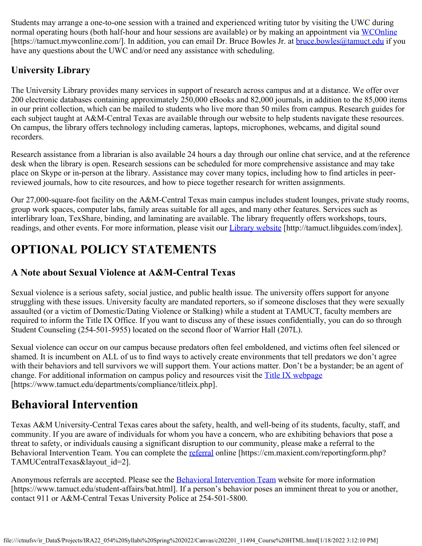Students may arrange a one-to-one session with a trained and experienced writing tutor by visiting the UWC during normal operating hours (both half-hour and hour sessions are available) or by making an appointment via [WCOnline](https://tamuct.mywconline.com/) [https://tamuct.mywconline.com/]. In addition, you can email Dr. Bruce Bowles Jr. at **bruce.bowles@tamuct.edu** if you have any questions about the UWC and/or need any assistance with scheduling.

## **University Library**

The University Library provides many services in support of research across campus and at a distance. We offer over 200 electronic databases containing approximately 250,000 eBooks and 82,000 journals, in addition to the 85,000 items in our print collection, which can be mailed to students who live more than 50 miles from campus. Research guides for each subject taught at A&M-Central Texas are available through our website to help students navigate these resources. On campus, the library offers technology including cameras, laptops, microphones, webcams, and digital sound recorders.

Research assistance from a librarian is also available 24 hours a day through our online chat service, and at the reference desk when the library is open. Research sessions can be scheduled for more comprehensive assistance and may take place on Skype or in-person at the library. Assistance may cover many topics, including how to find articles in peerreviewed journals, how to cite resources, and how to piece together research for written assignments.

Our 27,000-square-foot facility on the A&M-Central Texas main campus includes student lounges, private study rooms, group work spaces, computer labs, family areas suitable for all ages, and many other features. Services such as interlibrary loan, TexShare, binding, and laminating are available. The library frequently offers workshops, tours, readings, and other events. For more information, please visit our [Library website](https://tamuct.libguides.com/index) [http://tamuct.libguides.com/index].

# **OPTIONAL POLICY STATEMENTS**

## **A Note about Sexual Violence at A&M-Central Texas**

Sexual violence is a serious safety, social justice, and public health issue. The university offers support for anyone struggling with these issues. University faculty are mandated reporters, so if someone discloses that they were sexually assaulted (or a victim of Domestic/Dating Violence or Stalking) while a student at TAMUCT, faculty members are required to inform the Title IX Office. If you want to discuss any of these issues confidentially, you can do so through Student Counseling (254-501-5955) located on the second floor of Warrior Hall (207L).

Sexual violence can occur on our campus because predators often feel emboldened, and victims often feel silenced or shamed. It is incumbent on ALL of us to find ways to actively create environments that tell predators we don't agree with their behaviors and tell survivors we will support them. Your actions matter. Don't be a bystander; be an agent of change. For additional information on campus policy and resources visit the **[Title IX webpage](https://www.tamuct.edu/departments/compliance/titleix.php)** [https://www.tamuct.edu/departments/compliance/titleix.php].

# **Behavioral Intervention**

Texas A&M University-Central Texas cares about the safety, health, and well-being of its students, faculty, staff, and community. If you are aware of individuals for whom you have a concern, who are exhibiting behaviors that pose a threat to safety, or individuals causing a significant disruption to our community, please make a referral to the Behavioral Intervention Team. You can complete the [referral](https://cm.maxient.com/reportingform.php?TAMUCentralTexas&layout_id=2) online [https://cm.maxient.com/reportingform.php? TAMUCentralTexas&layout id=2].

Anonymous referrals are accepted. Please see the **Behavioral Intervention Team** website for more information [https://www.tamuct.edu/student-affairs/bat.html]. If a person's behavior poses an imminent threat to you or another, contact 911 or A&M-Central Texas University Police at 254-501-5800.